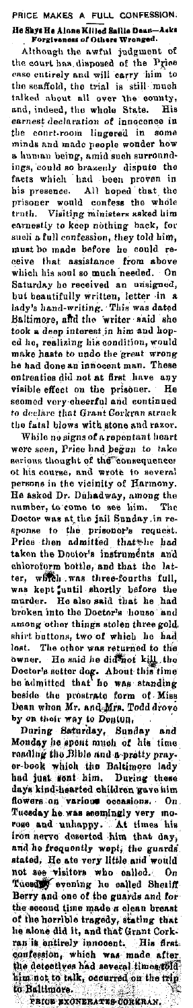PRICE MAKES A FULL CONFESSION. He Shys He Alone Killed Saille Dean-<br>Forgiveness of Others Wronged. a<br>ale

Although the awful judgment of the court has disposed of the Price case entirely and will carry him to the seaffold, the trial is still much talked about all over the county,<br>and, indeed, the whole State. His<br>earnest declaration of innocence in the court-room lingered in some minds and made people wonder how a human being, amid such surroundings, could so brazenly dispute the<br>facts which had been proven in<br>his presence. All hoped that the or prisoner would confess the whole<br>truth. Visiting ministers asked him<br>earnestly to keep nothing back, for such a full confession, they told him, must be made before he could remust be made before as come to every experience that assistance from above<br>which his soul so much needed. On<br>Saturday ho received an unsigned, but beautifully written, letter in a hady's hand-writing. This was dated Baltimore, and the writer said she Baltimore, and the book a deep interest in him and hop-<br>ed he, realizing his condition, would<br>make haste to undo the great wrong he had done an innocent man. These entreaties did not at first have any  $H_0$ visible effect on the prisoner. He seemed very cheerful and continued to declare that Grant Corkran struck the fatal blows with stone and razor. While no signs of a reportant heart<br>were seen, Price had begun to take<br>serious thought of the consequence: serious thought of the consequence<br>of his course, and wrote to several<br>persons in the vicinity of Harmony.<br>He asked Dr. Duhadway, among the<br>number, to come to see him. The<br>Doctor was at the jail Sunday in re-

poeter was at the prisoner's request.<br>sponse to the prisoner's request.<br>Price then admitted that the had taken the Doctor's instruments and case the Doctor is better and that the latter and that the latter, which was kept and that the latter and the latter and the marker. He also said that he had broken into the Doctor's house and among other things stolen three gold shirt buttons, two of which he had such a fluctuate the other was returned to the<br>boxter. The other was returned to the<br>boxter's setter dog, About this time<br>be admitted that he was standing<br>beside the preservate form of Miss beam when Mr. and Mrs. Todd drove by on their way to Douton.

Monday he spont much of his time reading the Bible and a pretty prayer-book which the Baltiman which the Baltimore had just During these days kind-hearted children gave him days kind-hearted children gave mm<br>flowers on various considers. On<br>Tuesday he was accepted wery mo-<br>rose and unhappy. At times his<br>iron nerve deserted him that day,<br>and he frequently wept; the guards<br>stated, He ate very l not ase visitors who called. On<br>Tuesday evening he called Sheriff<br>Berry and one of the guards and for Herry and one of the guards and for-<br>the second time made a clean breast<br>of the horrible tragedy, stating that<br>the alone did it, and that Grant Cork-<br>ran is a nitrely incoocant. His first<br>confession, which was made after<br>t the detectives and seven the trip<br>him not to talk, occurred on the trip to Baltimore.

PRIOR EXONERATES COREBAN.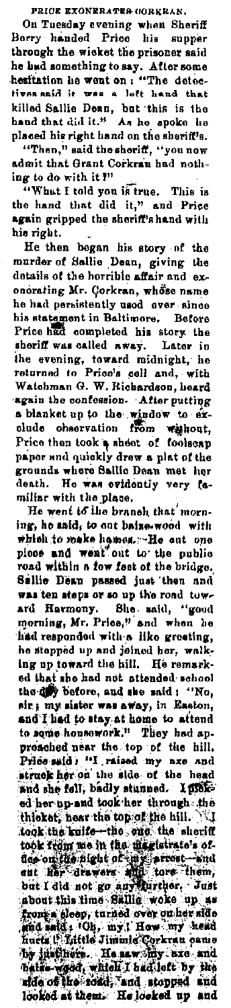PRICE EXONERATES CORKRAN.

On Tuesday evening when Sheriff<br>Berry handed Price his supper through the wicket the prisoner said he had something to say. After some<br>hesitation he went on: "The detectives said it was a left hand that<br>killed Sallie Dean, but this is the hand that did it." As he spoke he placed his right hand on the sheriff's. "Then," said the shoriff, "you now<br>admit that Grant Corkran had nothing to do with it?"

"What I told you is true. This is the hand that did it," and Price again gripped the sheriff's hand with his right.

He then began his story of the murder of Sallie Dean, giving the onorating Mr. Corkran, whose name he had persistently used ever since his statement in Baltimore. Before<br>Price had completed his story the sheriff was called away. Later in the evening, toward midnight, he<br>returned to Price's cell and, with Watchman G. W. Richardson, heard again the contension After putting a blanket up to the window to exclude observation from without, Price then took a sheet of foolseap paper and quickly drew a plat of the grounds where Sailie Dean met her<br>death. He was evidently very familiar with the place.

He went to the branch that' morning, he said, to out baise-wood with<br>which to make hames. --He cut one<br>ploce and went out to the public road within a few fest of the bridge. Sallie Dean passed just then and was ten steps or so up the road toward Harmony. She said, "good morning, Mr. Price," and when he had responded with a like greeting, he stopped up and joined her, walking up toward the hill. He remarked that abo had not attended school the div before, and she said : "No, sir; my sister was away, in Easton, and I had to stay at home to attend to some housework." They had approached near the top of the hill,<br>Price said: "I raised my axe and<br>struck her on the side of the head and she fell, badly stunned. I pickthicket, hear the top of the hill. took the kuife-the one the sheriff took the kuife-the one in the sheriff took from the the disclaterate of the signal to the control of the control of the control of the control of the control of the state of the state of the state of the state of the state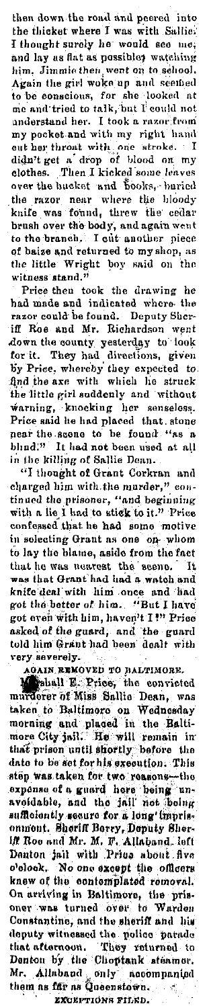then down the road and peered into the flicket where I was with Sallie: I thought surely he would see me; and lay as flat as possible; watching him, Jimmie then went on to school.<br>Again the girl woke up and scened to be conscious, for she looked at me and tried to talk, but I could not me and tried to taik, out I could not<br>anderstand her. I took a razor-from<br>my pocket and with my right hand<br>out her throat with, one stroke. I<br>dight get a drop of blood on my clothes Then I kicked some leaves over the bucket and books, buried knife was found, threw the cedar brush over the body, and again went to the branch. I cut another piece of baize and returned to my shop, as the little Wright boy said on the witness stand."

Price then took the drawing he had made and indicated where the razor could be found. Deputy Sher-iff Roe and Mr. Richardson went and we are the county yesterday to look for it. They had directions, given by Price, whereby they expected to find the axe with which he struck the little girl suddenly and without warning, knocking her senseless. Price said he had placed that stone near the scene to be found "as a blind!" It had not been used at all in the killing of Sallie Dean.

"I thought of Grant Corkran and charged him with the murder," continued the prisoner, "and beginning<br>with a lie I had to stick to it." Price<br>confessed that he had some motive in selecting Grant as one one whom to lay the blame, aside from the fact that he was nearest the seene. It was that Grant had lad a watch and knife deal with him once and had got the better of him. "But I have got even with him, haven't I!" Price<br>asked of the guard, and the guard<br>told him Grant had been dealt with very severely.

AGAIN REMOVED TO BALTIMORE.<br>Manual E. Price, the convicted<br>murderer of Miss Sallie Dean, was taken to Baltimore on Wednesday morning and placed in the Baltimore City juli. He will remain in that prison until shortly before the date to be set for his execution. This step was taken for two reasons-the exponse of a guard here being un-<br>avoidable, and the jail not being sufficiently secure for a long imprisonmont. Shorth Berry, Deputy Sher-iff Roo and Mr. M. F. Allahand. left<br>Denton jail with Price about five colook. No one except the officers<br>knew of the contemplated removal.<br>On arriving in Baltimore, the prisoner was turned over to Warden Constantine, and the sheriff and his community witnessed the police paradelectric fields and the distance.<br>
They returned to the control to Denton by the Choptan statement.<br>
Mr. Allaband only accompanied<br>
them as fift as Queenstown.

EXCEPTIONS FILED.